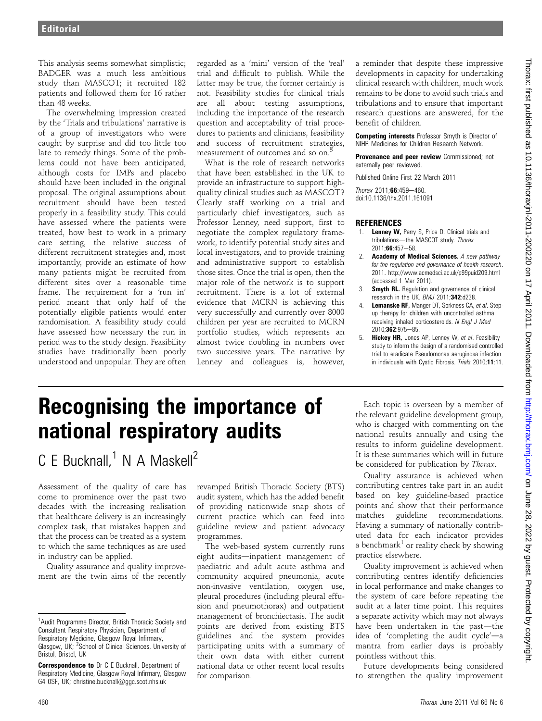This analysis seems somewhat simplistic; BADGER was a much less ambitious study than MASCOT; it recruited 182 patients and followed them for 16 rather than 48 weeks.

The overwhelming impression created by the 'Trials and tribulations' narrative is of a group of investigators who were caught by surprise and did too little too late to remedy things. Some of the problems could not have been anticipated, although costs for IMPs and placebo should have been included in the original proposal. The original assumptions about recruitment should have been tested properly in a feasibility study. This could have assessed where the patients were treated, how best to work in a primary care setting, the relative success of different recruitment strategies and, most importantly, provide an estimate of how many patients might be recruited from different sites over a reasonable time frame. The requirement for a 'run in' period meant that only half of the potentially eligible patients would enter randomisation. A feasibility study could have assessed how necessary the run in period was to the study design. Feasibility studies have traditionally been poorly understood and unpopular. They are often

regarded as a 'mini' version of the 'real' trial and difficult to publish. While the latter may be true, the former certainly is not. Feasibility studies for clinical trials are all about testing assumptions, including the importance of the research question and acceptability of trial procedures to patients and clinicians, feasibility and success of recruitment strategies, measurement of outcomes and so on.

What is the role of research networks that have been established in the UK to provide an infrastructure to support highquality clinical studies such as MASCOT? Clearly staff working on a trial and particularly chief investigators, such as Professor Lenney, need support, first to negotiate the complex regulatory framework, to identify potential study sites and local investigators, and to provide training and administrative support to establish those sites. Once the trial is open, then the major role of the network is to support recruitment. There is a lot of external evidence that MCRN is achieving this very successfully and currently over 8000 children per year are recruited to MCRN portfolio studies, which represents an almost twice doubling in numbers over two successive years. The narrative by Lenney and colleagues is, however,

a reminder that despite these impressive developments in capacity for undertaking clinical research with children, much work remains to be done to avoid such trials and tribulations and to ensure that important research questions are answered, for the benefit of children.

Competing interests Professor Smyth is Director of NIHR Medicines for Children Research Network.

**Provenance and peer review Commissioned: not** externally peer reviewed.

Published Online First 22 March 2011  $Thorax 2011; 66:459-460$ 

doi:10.1136/thx.2011.161091

## **REFERENCES**

- 1. Lenney W, Perry S, Price D. Clinical trials and tribulations-the MASCOT study. Thorax  $2011:66:457-58.$
- 2. Academy of Medical Sciences. A new pathway for the regulation and governance of health research. 2011. http://www.acmedsci.ac.uk/p99puid209.html (accessed 1 Mar 2011).
- 3. **Smyth RL.** Regulation and governance of clinical research in the UK. BMJ 2011;342:d238.
- Lemanske RF, Manger DT, Sorkness CA, et al. Stepup therapy for children with uncontrolled asthma receiving inhaled corticosteroids. N Engl J Med 2010:362:975-85.
- 5. Hickey HR, Jones AP, Lenney W, et al. Feasibility study to inform the design of a randomised controlled trial to eradicate Pseudomonas aeruginosa infection in individuals with Cystic Fibrosis. Trials 2010;11:11.

# Recognising the importance of national respiratory audits

 $C E Bucknall, 1 N A Maskell<sup>2</sup>$ 

Assessment of the quality of care has come to prominence over the past two decades with the increasing realisation that healthcare delivery is an increasingly complex task, that mistakes happen and that the process can be treated as a system to which the same techniques as are used in industry can be applied.

Quality assurance and quality improvement are the twin aims of the recently

revamped British Thoracic Society (BTS) audit system, which has the added benefit of providing nationwide snap shots of current practice which can feed into guideline review and patient advocacy programmes.

The web-based system currently runs eight audits-inpatient management of paediatric and adult acute asthma and community acquired pneumonia, acute non-invasive ventilation, oxygen use, pleural procedures (including pleural effusion and pneumothorax) and outpatient management of bronchiectasis. The audit points are derived from existing BTS guidelines and the system provides participating units with a summary of their own data with either current national data or other recent local results for comparison.

Each topic is overseen by a member of the relevant guideline development group, who is charged with commenting on the national results annually and using the results to inform guideline development. It is these summaries which will in future be considered for publication by Thorax.

Quality assurance is achieved when contributing centres take part in an audit based on key guideline-based practice points and show that their performance matches guideline recommendations. Having a summary of nationally contributed data for each indicator provides a benchmark<sup>1</sup> or reality check by showing practice elsewhere.

Quality improvement is achieved when contributing centres identify deficiencies in local performance and make changes to the system of care before repeating the audit at a later time point. This requires a separate activity which may not always have been undertaken in the past—the idea of 'completing the audit cycle' $-a$ mantra from earlier days is probably pointless without this.

Future developments being considered to strengthen the quality improvement

<sup>&</sup>lt;sup>1</sup> Audit Programme Director, British Thoracic Society and Consultant Respiratory Physician, Department of Respiratory Medicine, Glasgow Royal Infirmary, Glasgow, UK; <sup>2</sup>School of Clinical Sciences, University of Bristol, Bristol, UK

Correspondence to Dr C E Bucknall, Department of Respiratory Medicine, Glasgow Royal Infirmary, Glasgow G4 0SF, UK; christine.bucknall@ggc.scot.nhs.uk